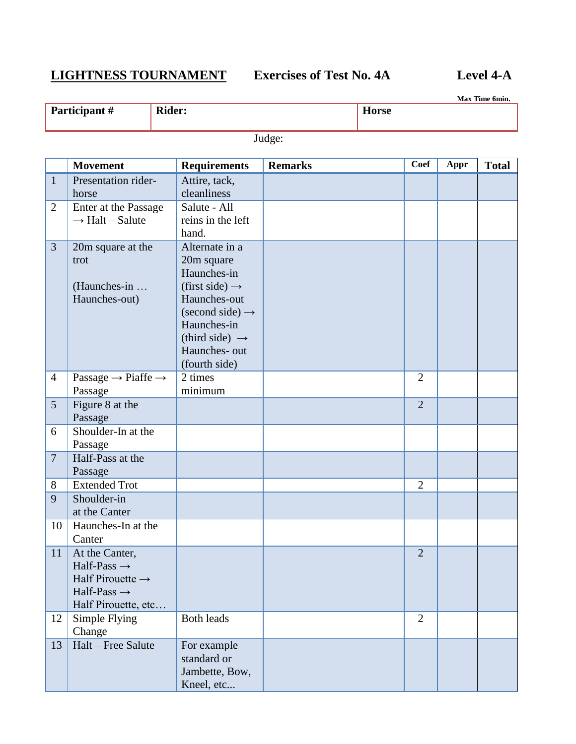# **LIGHTNESS TOURNAMENT Exercises of Test No. 4A Level 4-A**

**Max Time 6min.**

| Participa<br>$\lambda$ alit $\pi$ | D.L.<br>idan. | $-$<br>лисл |
|-----------------------------------|---------------|-------------|
|                                   |               |             |

Judge:

|                | <b>Movement</b>                                                                                                             | <b>Requirements</b>                                                                                                                                                                                     | <b>Remarks</b> | Coef           | Appr | <b>Total</b> |
|----------------|-----------------------------------------------------------------------------------------------------------------------------|---------------------------------------------------------------------------------------------------------------------------------------------------------------------------------------------------------|----------------|----------------|------|--------------|
| $\mathbf{1}$   | Presentation rider-<br>horse                                                                                                | Attire, tack,<br>cleanliness                                                                                                                                                                            |                |                |      |              |
| $\overline{2}$ | Enter at the Passage<br>$\rightarrow$ Halt - Salute                                                                         | Salute - All<br>reins in the left<br>hand.                                                                                                                                                              |                |                |      |              |
| 3              | 20m square at the<br>trot<br>(Haunches-in<br>Haunches-out)                                                                  | Alternate in a<br>20m square<br>Haunches-in<br>(first side) $\rightarrow$<br>Haunches-out<br>(second side) $\rightarrow$<br>Haunches-in<br>(third side) $\rightarrow$<br>Haunches- out<br>(fourth side) |                |                |      |              |
| $\overline{4}$ | Passage $\rightarrow$ Piaffe $\rightarrow$<br>Passage                                                                       | 2 times<br>minimum                                                                                                                                                                                      |                | $\overline{2}$ |      |              |
| 5 <sup>5</sup> | Figure 8 at the<br>Passage                                                                                                  |                                                                                                                                                                                                         |                | $\overline{2}$ |      |              |
| 6              | Shoulder-In at the<br>Passage                                                                                               |                                                                                                                                                                                                         |                |                |      |              |
| $\overline{7}$ | Half-Pass at the<br>Passage                                                                                                 |                                                                                                                                                                                                         |                |                |      |              |
| 8              | <b>Extended Trot</b>                                                                                                        |                                                                                                                                                                                                         |                | $\overline{2}$ |      |              |
| 9              | Shoulder-in<br>at the Canter                                                                                                |                                                                                                                                                                                                         |                |                |      |              |
| 10             | Haunches-In at the<br>Canter                                                                                                |                                                                                                                                                                                                         |                |                |      |              |
| 11             | At the Canter,<br>Half-Pass $\rightarrow$<br>Half Pirouette $\rightarrow$<br>Half-Pass $\rightarrow$<br>Half Pirouette, etc |                                                                                                                                                                                                         |                | $\overline{2}$ |      |              |
| 12             | Simple Flying<br>Change                                                                                                     | <b>Both leads</b>                                                                                                                                                                                       |                | $\overline{2}$ |      |              |
| 13             | Halt - Free Salute                                                                                                          | For example<br>standard or<br>Jambette, Bow,<br>Kneel, etc                                                                                                                                              |                |                |      |              |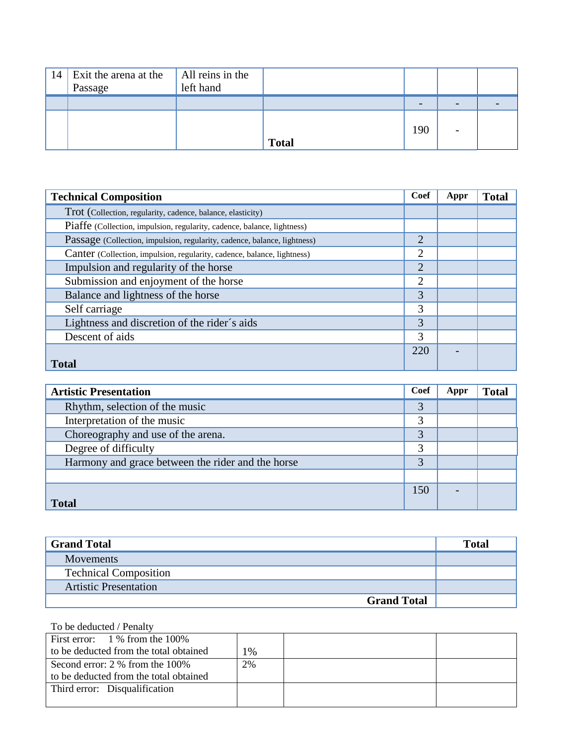| 14 | Exit the arena at the<br>Passage | All reins in the<br>left hand |              |     |   |  |
|----|----------------------------------|-------------------------------|--------------|-----|---|--|
|    |                                  |                               |              | -   | - |  |
|    |                                  |                               | <b>Total</b> | 190 | - |  |

| <b>Technical Composition</b>                                             | Coef           | Appr | <b>Total</b> |
|--------------------------------------------------------------------------|----------------|------|--------------|
| Trot (Collection, regularity, cadence, balance, elasticity)              |                |      |              |
| Piaffe (Collection, impulsion, regularity, cadence, balance, lightness)  |                |      |              |
| Passage (Collection, impulsion, regularity, cadence, balance, lightness) | $\overline{2}$ |      |              |
| Canter (Collection, impulsion, regularity, cadence, balance, lightness)  | $\overline{2}$ |      |              |
| Impulsion and regularity of the horse                                    | $\overline{2}$ |      |              |
| Submission and enjoyment of the horse                                    | 2              |      |              |
| Balance and lightness of the horse                                       | 3              |      |              |
| Self carriage                                                            | 3              |      |              |
| Lightness and discretion of the rider's aids                             | 3              |      |              |
| Descent of aids                                                          | 3              |      |              |
|                                                                          | 220            |      |              |
| <b>Total</b>                                                             |                |      |              |

| <b>Artistic Presentation</b>                      | Coef | Appr | <b>Total</b> |
|---------------------------------------------------|------|------|--------------|
| Rhythm, selection of the music                    | 3    |      |              |
| Interpretation of the music                       | 3    |      |              |
| Choreography and use of the arena.                | 3    |      |              |
| Degree of difficulty                              | 3    |      |              |
| Harmony and grace between the rider and the horse | 3    |      |              |
|                                                   |      |      |              |
|                                                   | 150  |      |              |
| <b>Total</b>                                      |      |      |              |

| <b>Grand Total</b>           | Total |
|------------------------------|-------|
| <b>Movements</b>             |       |
| <b>Technical Composition</b> |       |
| <b>Artistic Presentation</b> |       |
| <b>Grand Total</b>           |       |

To be deducted / Penalty First error: 1 % from the 100% to be deducted from the total obtained  $1\%$ Second error: 2 % from the 100% to be deducted from the total obtained 2% Third error: Disqualification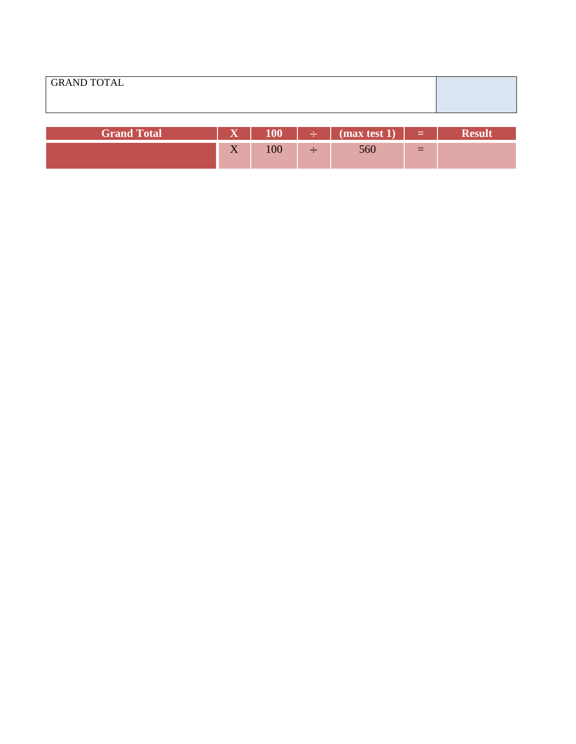| <b>Grand Total</b> | $\overline{\mathbf{x}}$    |     |          | $\begin{bmatrix} \div \end{bmatrix}$ (max test 1) $\begin{bmatrix} \bot \end{bmatrix}$ |     |  |
|--------------------|----------------------------|-----|----------|----------------------------------------------------------------------------------------|-----|--|
|                    | $\sim$ $\sim$<br>$\Lambda$ | 100 | <u>—</u> | 560                                                                                    | $=$ |  |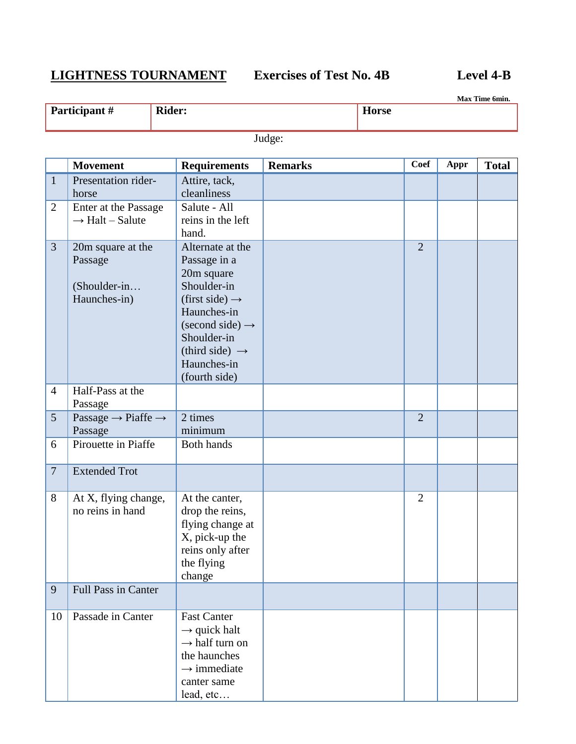## **LIGHTNESS TOURNAMENT Exercises of Test No. 4B Level 4-B**

|                 |                                                              |                                                                                                                                                                                                                               |                |                |      | Max Time 6min. |
|-----------------|--------------------------------------------------------------|-------------------------------------------------------------------------------------------------------------------------------------------------------------------------------------------------------------------------------|----------------|----------------|------|----------------|
|                 | Participant#                                                 | <b>Rider:</b>                                                                                                                                                                                                                 | <b>Horse</b>   |                |      |                |
|                 |                                                              |                                                                                                                                                                                                                               | Judge:         |                |      |                |
|                 | <b>Movement</b>                                              | <b>Requirements</b>                                                                                                                                                                                                           | <b>Remarks</b> | <b>Coef</b>    | Appr | <b>Total</b>   |
| $\mathbf{1}$    | Presentation rider-<br>horse                                 | Attire, tack,<br>cleanliness                                                                                                                                                                                                  |                |                |      |                |
| $\overline{2}$  | Enter at the Passage<br>$\rightarrow$ Halt – Salute          | Salute - All<br>reins in the left<br>hand.                                                                                                                                                                                    |                |                |      |                |
| $\overline{3}$  | 20m square at the<br>Passage<br>(Shoulder-in<br>Haunches-in) | Alternate at the<br>Passage in a<br>20m square<br>Shoulder-in<br>(first side) $\rightarrow$<br>Haunches-in<br>$\text{(second side)} \rightarrow$<br>Shoulder-in<br>(third side) $\rightarrow$<br>Haunches-in<br>(fourth side) |                | $\overline{2}$ |      |                |
| $\overline{4}$  | Half-Pass at the<br>Passage                                  |                                                                                                                                                                                                                               |                |                |      |                |
| $5\overline{)}$ | Passage $\rightarrow$ Piaffe $\rightarrow$<br>Passage        | 2 times<br>minimum                                                                                                                                                                                                            |                | $\overline{2}$ |      |                |
| 6               | Pirouette in Piaffe                                          | <b>Both hands</b>                                                                                                                                                                                                             |                |                |      |                |
| $\overline{7}$  | <b>Extended Trot</b>                                         |                                                                                                                                                                                                                               |                |                |      |                |
| 8               | At X, flying change,<br>no reins in hand                     | At the canter,<br>drop the reins,<br>flying change at<br>X, pick-up the                                                                                                                                                       |                | $\overline{2}$ |      |                |

reins only after the flying change

 $\rightarrow$  quick halt  $\rightarrow$  half turn on the haunches  $\rightarrow$  immediate canter same lead, etc…

9 Full Pass in Canter

10 Passade in Canter Fast Canter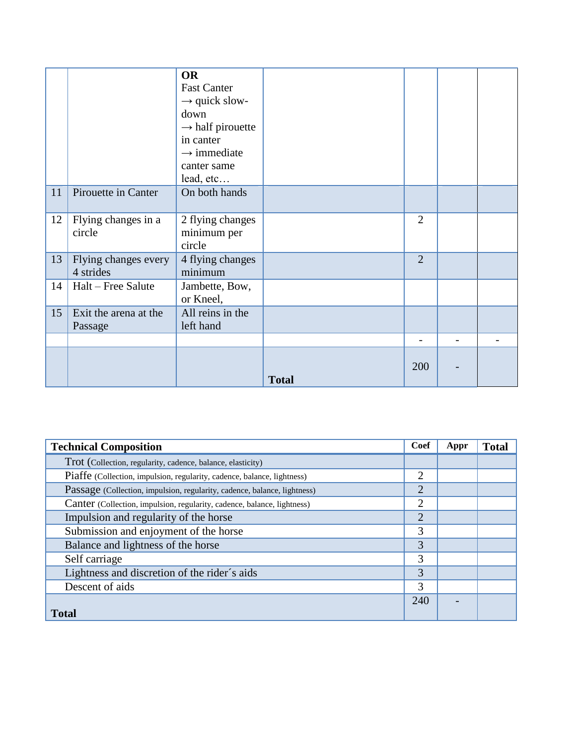|    |                                   | <b>OR</b><br><b>Fast Canter</b><br>$\rightarrow$ quick slow-<br>down<br>$\rightarrow$ half pirouette<br>in canter<br>$\rightarrow$ immediate<br>canter same<br>lead, etc |              |                          |  |
|----|-----------------------------------|--------------------------------------------------------------------------------------------------------------------------------------------------------------------------|--------------|--------------------------|--|
| 11 | Pirouette in Canter               | On both hands                                                                                                                                                            |              |                          |  |
| 12 | Flying changes in a<br>circle     | 2 flying changes<br>minimum per<br>circle                                                                                                                                |              | $\overline{2}$           |  |
| 13 | Flying changes every<br>4 strides | 4 flying changes<br>minimum                                                                                                                                              |              | $\overline{2}$           |  |
| 14 | Halt - Free Salute                | Jambette, Bow,<br>or Kneel,                                                                                                                                              |              |                          |  |
| 15 | Exit the arena at the<br>Passage  | All reins in the<br>left hand                                                                                                                                            |              |                          |  |
|    |                                   |                                                                                                                                                                          |              | $\overline{\phantom{0}}$ |  |
|    |                                   |                                                                                                                                                                          | <b>Total</b> | 200                      |  |

| <b>Technical Composition</b>                                             | Coef           | Appr | <b>Total</b> |
|--------------------------------------------------------------------------|----------------|------|--------------|
| Trot (Collection, regularity, cadence, balance, elasticity)              |                |      |              |
| Piaffe (Collection, impulsion, regularity, cadence, balance, lightness)  | $\overline{2}$ |      |              |
| Passage (Collection, impulsion, regularity, cadence, balance, lightness) | $\overline{2}$ |      |              |
| Canter (Collection, impulsion, regularity, cadence, balance, lightness)  | $\overline{2}$ |      |              |
| Impulsion and regularity of the horse                                    | $\overline{2}$ |      |              |
| Submission and enjoyment of the horse                                    | 3              |      |              |
| Balance and lightness of the horse                                       | 3              |      |              |
| Self carriage                                                            | 3              |      |              |
| Lightness and discretion of the rider's aids                             | 3              |      |              |
| Descent of aids                                                          | 3              |      |              |
|                                                                          | 240            |      |              |
| <b>Total</b>                                                             |                |      |              |